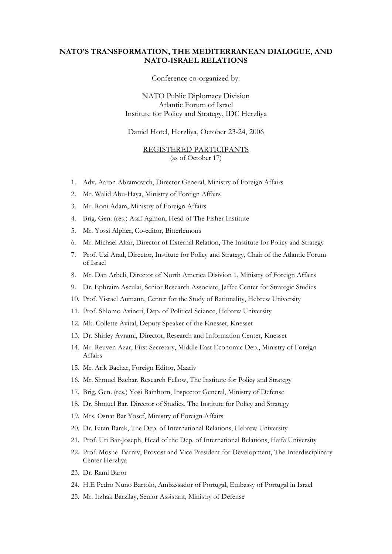## **NATO'S TRANSFORMATION, THE MEDITERRANEAN DIALOGUE, AND NATO-ISRAEL RELATIONS**

Conference co-organized by:

NATO Public Diplomacy Division Atlantic Forum of Israel Institute for Policy and Strategy, IDC Herzliya

## Daniel Hotel, Herzliya, October 23-24, 2006

## REGISTERED PARTICIPANTS (as of October 17)

- 1. Adv. Aaron Abramovich, Director General, Ministry of Foreign Affairs
- 2. Mr. Walid Abu-Haya, Ministry of Foreign Affairs
- 3. Mr. Roni Adam, Ministry of Foreign Affairs
- 4. Brig. Gen. (res.) Asaf Agmon, Head of The Fisher Institute
- 5. Mr. Yossi Alpher, Co-editor, Bitterlemons
- 6. Mr. Michael Altar, Director of External Relation, The Institute for Policy and Strategy
- 7. Prof. Uzi Arad, Director, Institute for Policy and Strategy, Chair of the Atlantic Forum of Israel
- 8. Mr. Dan Arbeli, Director of North America Disivion 1, Ministry of Foreign Affairs
- 9. Dr. Ephraim Asculai, Senior Research Associate, Jaffee Center for Strategic Studies
- 10. Prof. Yisrael Aumann, Center for the Study of Rationality, Hebrew University
- 11. Prof. Shlomo Avineri, Dep. of Political Science, Hebrew University
- 12. Mk. Collette Avital, Deputy Speaker of the Knesset, Knesset
- 13. Dr. Shirley Avrami, Director, Research and Information Center, Knesset
- 14. Mr. Reuven Azar, First Secretary, Middle East Economic Dep., Ministry of Foreign Affairs
- 15. Mr. Arik Bachar, Foreign Editor, Maariv
- 16. Mr. Shmuel Bachar, Research Fellow, The Institute for Policy and Strategy
- 17. Brig. Gen. (res.) Yosi Bainhorn, Inspector General, Ministry of Defense
- 18. Dr. Shmuel Bar, Director of Studies, The Institute for Policy and Strategy
- 19. Mrs. Osnat Bar Yosef, Ministry of Foreign Affairs
- 20. Dr. Eitan Barak, The Dep. of International Relations, Hebrew University
- 21. Prof. Uri Bar-Joseph, Head of the Dep. of International Relations, Haifa University
- 22. Prof. Moshe Barniv, Provost and Vice President for Development, The Interdisciplinary Center Herzliya
- 23. Dr. Rami Baror
- 24. H.E Pedro Nuno Bartolo, Ambassador of Portugal, Embassy of Portugal in Israel
- 25. Mr. Itzhak Barzilay, Senior Assistant, Ministry of Defense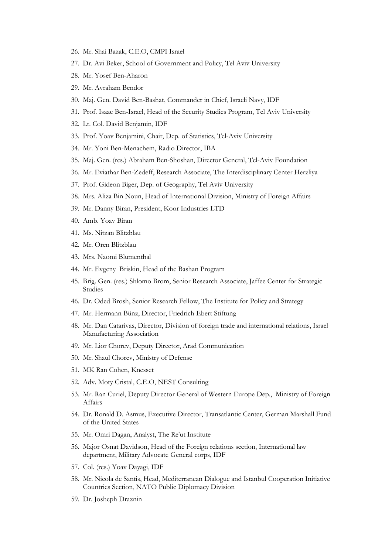- 26. Mr. Shai Bazak, C.E.O, CMPI Israel
- 27. Dr. Avi Beker, School of Government and Policy, Tel Aviv University
- 28. Mr. Yosef Ben-Aharon
- 29. Mr. Avraham Bendor
- 30. Maj. Gen. David Ben-Bashat, Commander in Chief, Israeli Navy, IDF
- 31. Prof. Isaac Ben-Israel, Head of the Security Studies Program, Tel Aviv University
- 32. Lt. Col. David Benjamin, IDF
- 33. Prof. Yoav Benjamini, Chair, Dep. of Statistics, Tel-Aviv University
- 34. Mr. Yoni Ben-Menachem, Radio Director, IBA
- 35. Maj. Gen. (res.) Abraham Ben-Shoshan, Director General, Tel-Aviv Foundation
- 36. Mr. Eviathar Ben-Zedeff, Research Associate, The Interdisciplinary Center Herzliya
- 37. Prof. Gideon Biger, Dep. of Geography, Tel Aviv University
- 38. Mrs. Aliza Bin Noun, Head of International Division, Ministry of Foreign Affairs
- 39. Mr. Danny Biran, President, Koor Industries LTD
- 40. Amb. Yoav Biran
- 41. Ms. Nitzan Blitzblau
- 42. Mr. Oren Blitzblau
- 43. Mrs. Naomi Blumenthal
- 44. Mr. Evgeny Briskin, Head of the Bashan Program
- 45. Brig. Gen. (res.) Shlomo Brom, Senior Research Associate, Jaffee Center for Strategic Studies
- 46. Dr. Oded Brosh, Senior Research Fellow, The Institute for Policy and Strategy
- 47. Mr. Hermann Bünz, Director, Friedrich Ebert Stiftung
- 48. Mr. Dan Catarivas, Director, Division of foreign trade and international relations, Israel Manufacturing Association
- 49. Mr. Lior Chorev, Deputy Director, Arad Communication
- 50. Mr. Shaul Chorev, Ministry of Defense
- 51. MK Ran Cohen, Knesset
- 52. Adv. Moty Cristal, C.E.O, NEST Consulting
- 53. Mr. Ran Curiel, Deputy Director General of Western Europe Dep., Ministry of Foreign Affairs
- 54. Dr. Ronald D. Asmus, Executive Director, Transatlantic Center, German Marshall Fund of the United States
- 55. Mr. Omri Dagan, Analyst, The Re'ut Institute
- 56. Major Osnat Davidson, Head of the Foreign relations section, International law department, Military Advocate General corps, IDF
- 57. Col. (res.) Yoav Dayagi, IDF
- 58. Mr. Nicola de Santis, Head, Mediterranean Dialogue and Istanbul Cooperation Initiative Countries Section, NATO Public Diplomacy Division
- 59. Dr. Josheph Draznin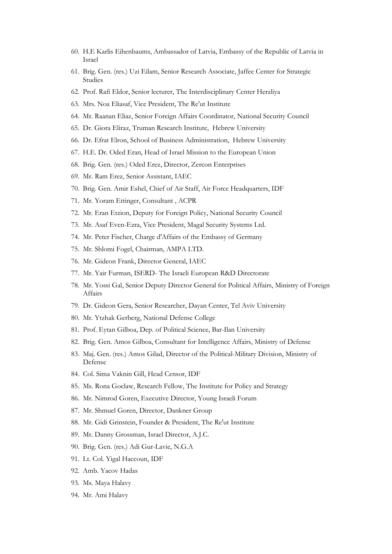- 60. H.E Karlis Eihenbaums, Ambassador of Latvia, Embassy of the Republic of Latvia in Israel
- 61. Brig. Gen. (res.) Uzi Eilam, Senior Research Associate, Jaffee Center for Strategic Studies
- 62. Prof. Rafi Eldor, Senior lecturer, The Interdisciplinary Center Herzliya
- 63. Mrs. Noa Eliasaf, Vice President, The Re'ut Institute
- 64. Mr. Raanan Eliaz, Senior Foreign Affairs Coordinator, National Security Council
- 65. Dr. Giora Eliraz, Truman Research Institute, Hebrew University
- 66. Dr. Efrat Elron, School of Business Administration, Hebrew University
- 67. H.E. Dr. Oded Eran, Head of Israel Mission to the European Union
- 68. Brig. Gen. (res.) Oded Erez, Director, Zercon Enterprises
- 69. Mr. Ram Erez, Senior Assistant, IAEC
- 70. Brig. Gen. Amir Eshel, Chief of Air Staff, Air Force Headquarters, IDF
- 71. Mr. Yoram Ettinger, Consultant , ACPR
- 72. Mr. Eran Etzion, Deputy for Foreign Policy, National Security Council
- 73. Mr. Asaf Even-Ezra, Vice President, Magal Security Systems Ltd.
- 74. Mr. Peter Fischer, Charge d'Affairs of the Embassy of Germany
- 75. Mr. Shlomi Fogel, Chairman, AMPA LTD.
- 76. Mr. Gideon Frank, Director General, IAEC
- 77. Mr. Yair Furman, ISERD- The Israeli European R&D Directorate
- 78. Mr. Yossi Gal, Senior Deputy Director General for Political Affairs, Ministry of Foreign Affairs
- 79. Dr. Gideon Gera, Senior Researcher, Dayan Center, Tel Aviv University
- 80. Mr. Ytzhak Gerberg, National Defense College
- 81. Prof. Eytan Gilboa, Dep. of Political Science, Bar-Ilan University
- 82. Brig. Gen. Amos Gilboa, Consultant for Intelligence Affairs, Ministry of Defense
- 83. Maj. Gen. (res.) Amos Gilad, Director of the Political-Military Division, Ministry of Defense
- 84. Col. Sima Vaknin Gill, Head Censor, IDF
- 85. Ms. Rona Goclaw, Research Fellow, The Institute for Policy and Strategy
- 86. Mr. Nimrod Goren, Executive Director, Young Israeli Forum
- 87. Mr. Shmuel Goren, Director, Dankner Group
- 88. Mr. Gidi Grinstein, Founder & President, The Re'ut Institute
- 89. Mr. Danny Grossman, Israel Director, A.J.C.
- 90. Brig. Gen. (res.) Adi Gur-Lavie, N.G.A
- 91. Lt. Col. Yigal Haccoun, IDF
- 92. Amb. Yacov Hadas
- 93. Ms. Maya Halavy
- 94. Mr. Ami Halavy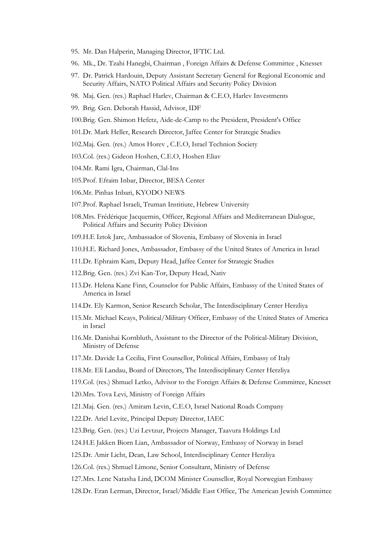- 95. Mr. Dan Halperin, Managing Director, IFTIC Ltd.
- 96. Mk., Dr. Tzahi Hanegbi, Chairman , Foreign Affairs & Defense Committee , Knesset
- 97. Dr. Patrick Hardouin, Deputy Assistant Secretary General for Regional Economic and Security Affairs, NATO Political Affairs and Security Policy Division
- 98. Maj. Gen. (res.) Raphael Harlev, Chairman & C.E.O, Harlev Investments
- 99. Brig. Gen. Deborah Hassid, Advisor, IDF
- 100.Brig. Gen. Shimon Hefetz, Aide-de-Camp to the President, President's Office
- 101.Dr. Mark Heller, Research Director, Jaffee Center for Strategic Studies
- 102.Maj. Gen. (res.) Amos Horev , C.E.O, Israel Technion Society
- 103.Col. (res.) Gideon Hoshen, C.E.O, Hoshen Eliav
- 104.Mr. Rami Igra, Chairman, Clal-Ins
- 105.Prof. Efraim Inbar, Director, BESA Center
- 106.Mr. Pinhas Inbari, KYODO NEWS
- 107.Prof. Raphael Israeli, Truman Institiute, Hebrew University
- 108.Mrs. Frédérique Jacquemin, Officer, Regional Affairs and Mediterranean Dialogue, Political Affairs and Security Policy Division
- 109.H.E Iztok Jarc, Ambassador of Slovenia, Embassy of Slovenia in Israel
- 110.H.E. Richard Jones, Ambassador, Embassy of the United States of America in Israel
- 111.Dr. Ephraim Kam, Deputy Head, Jaffee Center for Strategic Studies
- 112.Brig. Gen. (res.) Zvi Kan-Tor, Deputy Head, Nativ
- 113.Dr. Helena Kane Finn, Counselor for Public Affairs, Embassy of the United States of America in Israel
- 114.Dr. Ely Karmon, Senior Research Scholar, The Interdisciplinary Center Herzliya
- 115.Mr. Michael Keays, Political/Military Officer, Embassy of the United States of America in Israel
- 116.Mr. Danishai Kornbluth, Assistant to the Director of the Political-Military Division, Ministry of Defense
- 117.Mr. Davide La Cecilia, First Counsellor, Political Affairs, Embassy of Italy
- 118.Mr. Eli Landau, Board of Directors, The Interdisciplinary Center Herzliya
- 119.Col. (res.) Shmuel Letko, Advisor to the Foreign Affairs & Defense Committee, Knesset
- 120.Mrs. Tova Levi, Ministry of Foreign Affairs
- 121.Maj. Gen. (res.) Amiram Levin, C.E.O, Israel National Roads Company
- 122.Dr. Ariel Levite, Principal Deputy Director, IAEC
- 123.Brig. Gen. (res.) Uzi Levtzur, Projects Manager, Taavura Holdings Ltd
- 124.H.E Jakken Biorn Lian, Ambassador of Norway, Embassy of Norway in Israel
- 125.Dr. Amir Licht, Dean, Law School, Interdisciplinary Center Herzliya
- 126.Col. (res.) Shmuel Limone, Senior Consultant, Ministry of Defense
- 127.Mrs. Lene Natasha Lind, DCOM Minister Counsellor, Royal Norwegian Embassy
- 128.Dr. Eran Lerman, Director, Israel/Middle East Office, The American Jewish Committee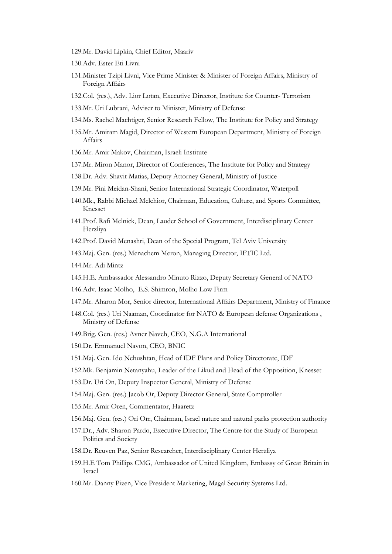- 129.Mr. David Lipkin, Chief Editor, Maariv
- 130.Adv. Ester Eti Livni
- 131.Minister Tzipi Livni, Vice Prime Minister & Minister of Foreign Affairs, Ministry of Foreign Affairs
- 132.Col. (res.), Adv. Lior Lotan, Executive Director, Institute for Counter- Terrorism
- 133.Mr. Uri Lubrani, Adviser to Minister, Ministry of Defense
- 134.Ms. Rachel Machtiger, Senior Research Fellow, The Institute for Policy and Strategy
- 135.Mr. Amiram Magid, Director of Western European Department, Ministry of Foreign Affairs
- 136.Mr. Amir Makov, Chairman, Israeli Institute
- 137.Mr. Miron Manor, Director of Conferences, The Institute for Policy and Strategy
- 138.Dr. Adv. Shavit Matias, Deputy Attorney General, Ministry of Justice
- 139.Mr. Pini Meidan-Shani, Senior International Strategic Coordinator, Waterpoll
- 140.Mk., Rabbi Michael Melchior, Chairman, Education, Culture, and Sports Committee, Knesset
- 141.Prof. Rafi Melnick, Dean, Lauder School of Government, Interdisciplinary Center Herzliya
- 142.Prof. David Menashri, Dean of the Special Program, Tel Aviv University

143.Maj. Gen. (res.) Menachem Meron, Managing Director, IFTIC Ltd.

144.Mr. Adi Mintz

- 145.H.E. Ambassador Alessandro Minuto Rizzo, Deputy Secretary General of NATO
- 146.Adv. Isaac Molho, E.S. Shimron, Molho Low Firm
- 147.Mr. Aharon Mor, Senior director, International Affairs Department, Ministry of Finance
- 148.Col. (res.) Uri Naaman, Coordinator for NATO & European defense Organizations , Ministry of Defense
- 149.Brig. Gen. (res.) Avner Naveh, CEO, N.G.A International
- 150.Dr. Emmanuel Navon, CEO, BNIC
- 151.Maj. Gen. Ido Nehushtan, Head of IDF Plans and Policy Directorate, IDF
- 152.Mk. Benjamin Netanyahu, Leader of the Likud and Head of the Opposition, Knesset
- 153.Dr. Uri On, Deputy Inspector General, Ministry of Defense
- 154.Maj. Gen. (res.) Jacob Or, Deputy Director General, State Comptroller
- 155.Mr. Amir Oren, Commentator, Haaretz
- 156.Maj. Gen. (res.) Ori Orr, Chairman, Israel nature and natural parks protection authority
- 157.Dr., Adv. Sharon Pardo, Executive Director, The Centre for the Study of European Politics and Society
- 158.Dr. Reuven Paz, Senior Researcher, Interdisciplinary Center Herzliya
- 159.H.E Tom Phillips CMG, Ambassador of United Kingdom, Embassy of Great Britain in Israel
- 160.Mr. Danny Pizen, Vice President Marketing, Magal Security Systems Ltd.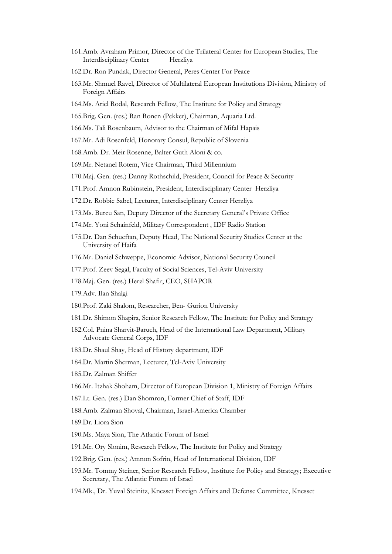- 161.Amb. Avraham Primor, Director of the Trilateral Center for European Studies, The Interdisciplinary Center \*\*\*\*\*\* Herzliya
- 162.Dr. Ron Pundak, Director General, Peres Center For Peace
- 163.Mr. Shmuel Ravel, Director of Multilateral European Institutions Division, Ministry of Foreign Affairs
- 164.Ms. Ariel Rodal, Research Fellow, The Institute for Policy and Strategy
- 165.Brig. Gen. (res.) Ran Ronen (Pekker), Chairman, Aquaria Ltd.
- 166.Ms. Tali Rosenbaum, Advisor to the Chairman of Mifal Hapais
- 167.Mr. Adi Rosenfeld, Honorary Consul, Republic of Slovenia
- 168.Amb. Dr. Meir Rosenne, Balter Guth Aloni & co.
- 169.Mr. Netanel Rotem, Vice Chairman, Third Millennium
- 170.Maj. Gen. (res.) Danny Rothschild, President, Council for Peace & Security
- 171.Prof. Amnon Rubinstein, President, Interdisciplinary Center Herzliya
- 172.Dr. Robbie Sabel, Lecturer, Interdisciplinary Center Herzliya
- 173.Ms. Burcu San, Deputy Director of the Secretary General's Private Office
- 174.Mr. Yoni Schainfeld, Military Correspondent , IDF Radio Station
- 175.Dr. Dan Schueftan, Deputy Head, The National Security Studies Center at the University of Haifa
- 176.Mr. Daniel Schweppe, Economic Advisor, National Security Council
- 177.Prof. Zeev Segal, Faculty of Social Sciences, Tel-Aviv University
- 178.Maj. Gen. (res.) Herzl Shafir, CEO, SHAPOR
- 179.Adv. Ilan Shalgi
- 180.Prof. Zaki Shalom, Researcher, Ben- Gurion University
- 181.Dr. Shimon Shapira, Senior Research Fellow, The Institute for Policy and Strategy
- 182.Col. Pnina Sharvit-Baruch, Head of the International Law Department, Military Advocate General Corps, IDF
- 183.Dr. Shaul Shay, Head of History department, IDF
- 184.Dr. Martin Sherman, Lecturer, Tel-Aviv University
- 185.Dr. Zalman Shiffer
- 186.Mr. Itzhak Shoham, Director of European Division 1, Ministry of Foreign Affairs
- 187.Lt. Gen. (res.) Dan Shomron, Former Chief of Staff, IDF
- 188.Amb. Zalman Shoval, Chairman, Israel-America Chamber
- 189.Dr. Liora Sion
- 190.Ms. Maya Sion, The Atlantic Forum of Israel
- 191.Mr. Ory Slonim, Research Fellow, The Institute for Policy and Strategy
- 192.Brig. Gen. (res.) Amnon Sofrin, Head of International Division, IDF
- 193.Mr. Tommy Steiner, Senior Research Fellow, Institute for Policy and Strategy; Executive Secretary, The Atlantic Forum of Israel
- 194.Mk., Dr. Yuval Steinitz, Knesset Foreign Affairs and Defense Committee, Knesset